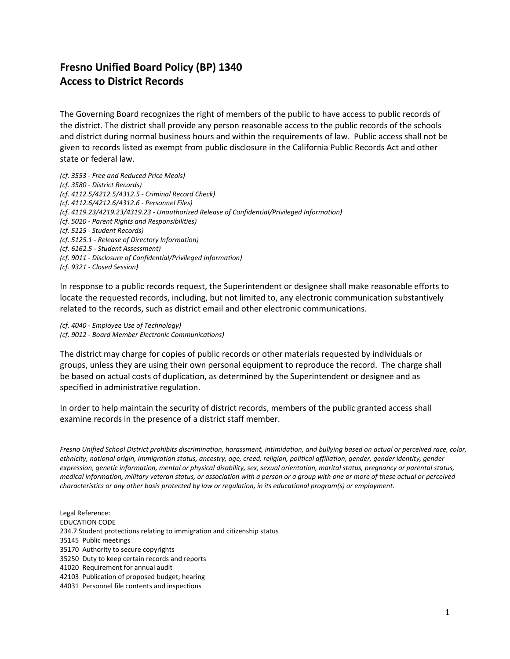## **Fresno Unified Board Policy (BP) 1340 Access to District Records**

The Governing Board recognizes the right of members of the public to have access to public records of the district. The district shall provide any person reasonable access to the public records of the schools and district during normal business hours and within the requirements of law. Public access shall not be given to records listed as exempt from public disclosure in the California Public Records Act and other state or federal law.

*(cf. 3553 - Free and Reduced Price Meals) (cf. 3580 - District Records) (cf. 4112.5/4212.5/4312.5 - Criminal Record Check) (cf. 4112.6/4212.6/4312.6 - Personnel Files) (cf. 4119.23/4219.23/4319.23 - Unauthorized Release of Confidential/Privileged Information) (cf. 5020 - Parent Rights and Responsibilities) (cf. 5125 - Student Records) (cf. 5125.1 - Release of Directory Information) (cf. 6162.5 - Student Assessment) (cf. 9011 - Disclosure of Confidential/Privileged Information) (cf. 9321 - Closed Session)*

In response to a public records request, the Superintendent or designee shall make reasonable efforts to locate the requested records, including, but not limited to, any electronic communication substantively related to the records, such as district email and other electronic communications.

*(cf. 4040 - Employee Use of Technology) (cf. 9012 - Board Member Electronic Communications)*

The district may charge for copies of public records or other materials requested by individuals or groups, unless they are using their own personal equipment to reproduce the record. The charge shall be based on actual costs of duplication, as determined by the Superintendent or designee and as specified in administrative regulation.

In order to help maintain the security of district records, members of the public granted access shall examine records in the presence of a district staff member.

*Fresno Unified School District prohibits discrimination, harassment, intimidation, and bullying based on actual or perceived race, color, ethnicity, national origin, immigration status, ancestry, age, creed, religion, political affiliation, gender, gender identity, gender expression, genetic information, mental or physical disability, sex, sexual orientation, marital status, pregnancy or parental status, medical information, military veteran status, or association with a person or a group with one or more of these actual or perceived characteristics or any other basis protected by law or regulation, in its educational program(s) or employment.*

Legal Reference: EDUCATION CODE 234.7 Student protections relating to immigration and citizenship status 35145 Public meetings 35170 Authority to secure copyrights 35250 Duty to keep certain records and reports 41020 Requirement for annual audit 42103 Publication of proposed budget; hearing 44031 Personnel file contents and inspections